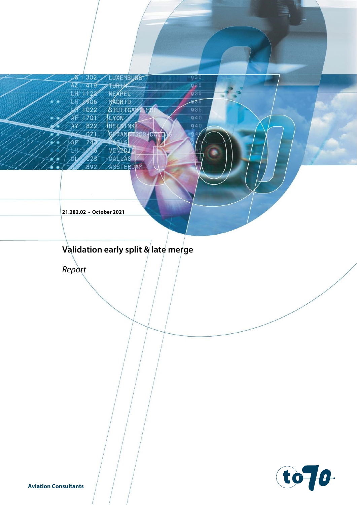LUXEMBURG 302 Æ 419 **TURIX**  $AZ$ LH 1122 NEAPEL MADRID ТA 1906 STUTTGAR HE 1022  $1701$ LYON HELMNKI 822 ŃУ RÁNGTSCO JD  $071$ VENERIC

930

935

935

 $935$ 

935

 $940$ 

940

 $Q<sub>4</sub>$ 

DALKAS AMSTERDAM ัดว

**21.282.02 • October 2021**

# $\overline{a}$ **Validation early split & late merge**

*Report*

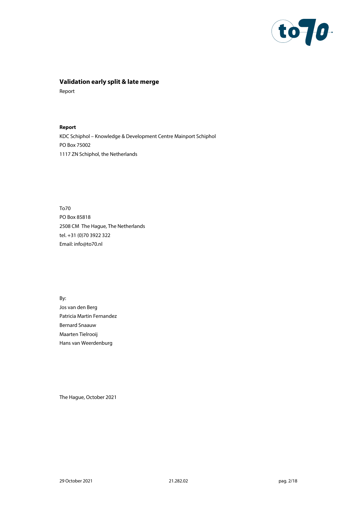

# **Validation early split & late merge**

Report

**Report** KDC Schiphol – Knowledge & Development Centre Mainport Schiphol PO Box 75002 1117 ZN Schiphol, the Netherlands

To70 PO Box 85818 2508 CM The Hague, The Netherlands tel. +31 (0)70 3922 322 Email[: info@to70.nl](mailto:info@to70.nl)

By: Jos van den Berg Patricia Martin Fernandez Bernard Snaauw Maarten Tielrooij Hans van Weerdenburg

The Hague, October 2021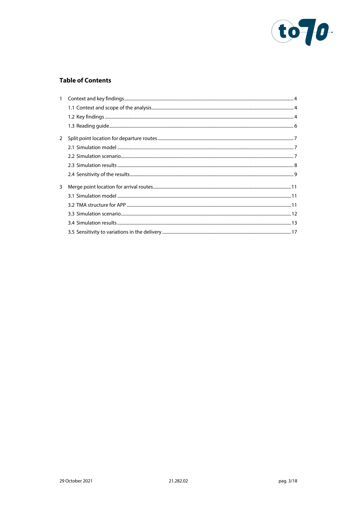

# **Table of Contents**

| 2 |  |
|---|--|
|   |  |
|   |  |
|   |  |
|   |  |
| 3 |  |
|   |  |
|   |  |
|   |  |
|   |  |
|   |  |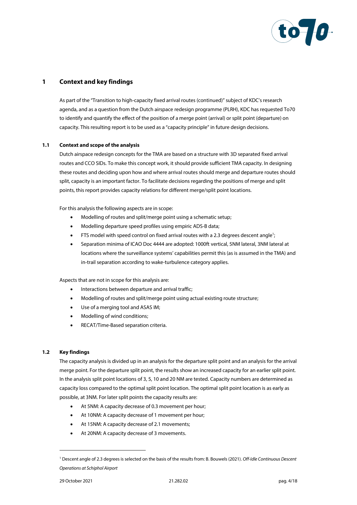

# <span id="page-3-0"></span>**1 Context and key findings**

As part of the "Transition to high-capacity fixed arrival routes (continued)" subject of KDC's research agenda, and as a question from the Dutch airspace redesign programme (PLRH), KDC has requested To70 to identify and quantify the effect of the position of a merge point (arrival) or split point (departure) on capacity. This resulting report is to be used as a "capacity principle" in future design decisions.

### **1.1 Context and scope of the analysis**

<span id="page-3-1"></span>Dutch airspace redesign concepts for the TMA are based on a structure with 3D separated fixed arrival routes and CCO SIDs. To make this concept work, it should provide sufficient TMA capacity. In designing these routes and deciding upon how and where arrival routes should merge and departure routes should split, capacity is an important factor. To facilitate decisions regarding the positions of merge and split points, this report provides capacity relations for different merge/split point locations.

For this analysis the following aspects are in scope:

- Modelling of routes and split/merge point using a schematic setup;
- Modelling departure speed profiles using empiric ADS-B data;
- $\bullet$  FTS model with speed control on fixed arrival routes with a 2.3 degrees descent angle<sup>1</sup>;
- Separation minima of ICAO Doc 4444 are adopted: 1000ft vertical, 5NM lateral, 3NM lateral at locations where the surveillance systems' capabilities permit this (as is assumed in the TMA) and in-trail separation according to wake-turbulence category applies.

Aspects that are not in scope for this analysis are:

- Interactions between departure and arrival traffic;
- Modelling of routes and split/merge point using actual existing route structure;
- Use of a merging tool and ASAS IM;
- Modelling of wind conditions;
- RECAT/Time-Based separation criteria.

#### <span id="page-3-2"></span>**1.2 Key findings**

The capacity analysis is divided up in an analysis for the departure split point and an analysis for the arrival merge point. For the departure split point, the results show an increased capacity for an earlier split point. In the analysis split point locations of 3, 5, 10 and 20 NM are tested. Capacity numbers are determined as capacity loss compared to the optimal split point location. The optimal split point location is as early as possible, at 3NM. For later split points the capacity results are:

- At 5NM: A capacity decrease of 0.3 movement per hour;
- At 10NM: A capacity decrease of 1 movement per hour;
- At 15NM: A capacity decrease of 2.1 movements;
- At 20NM: A capacity decrease of 3 movements.

<sup>1</sup> Descent angle of 2.3 degrees is selected on the basis of the results from: B. Bouwels (2021). *Off-Idle Continuous Descent Operations at Schiphol Airport*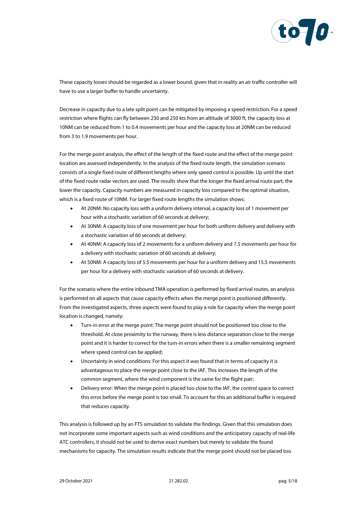

These capacity losses should be regarded as a lower bound, given that in reality an air traffic controller will have to use a larger buffer to handle uncertainty.

Decrease in capacity due to a late split point can be mitigated by imposing a speed restriction. For a speed restriction where flights can fly between 230 and 250 kts from an altitude of 3000 ft, the capacity loss at 10NM can be reduced from 1 to 0.4 movements per hour and the capacity loss at 20NM can be reduced from 3 to 1.9 movements per hour.

For the merge point analysis, the effect of the length of the fixed route and the effect of the merge point location are assessed independently. In the analysis of the fixed route length, the simulation scenario consists of a single fixed route of different lengths where only speed control is possible. Up until the start of the fixed route radar vectors are used. The results show that the longer the fixed arrival route part, the lower the capacity. Capacity numbers are measured in capacity loss compared to the optimal situation, which is a fixed route of 10NM. For larger fixed route lengths the simulation shows:

- At 20NM: No capacity loss with a uniform delivery interval, a capacity loss of 1 movement per hour with a stochastic variation of 60 seconds at delivery;
- At 30NM: A capacity loss of one movement per hour for both uniform delivery and delivery with a stochastic variation of 60 seconds at delivery;
- At 40NM: A capacity loss of 2 movements for a uniform delivery and 7.5 movements per hour for a delivery with stochastic variation of 60 seconds at delivery;
- At 50NM: A capacity loss of 5.5 movements per hour for a uniform delivery and 15.5 movements per hour for a delivery with stochastic variation of 60 seconds at delivery.

For the scenario where the entire inbound TMA operation is performed by fixed arrival routes, an analysis is performed on all aspects that cause capacity effects when the merge point is positioned differently. From the investigated aspects, three aspects were found to play a role for capacity when the merge point location is changed, namely:

- Turn-in error at the merge point: The merge point should not be positioned too close to the threshold. At close proximity to the runway, there is less distance separation close to the merge point and it is harder to correct for the turn-in errors when there is a smaller remaining segment where speed control can be applied;
- Uncertainty in wind conditions: For this aspect it was found that in terms of capacity it is advantageous to place the merge point close to the IAF. This increases the length of the common segment, where the wind component is the same for the flight pair:
- Delivery error: When the merge point is placed too close to the IAF, the control space to correct this error before the merge point is too small. To account for this an additional buffer is required that reduces capacity.

This analysis is followed up by an FTS simulation to validate the findings. Given that this simulation does not incorporate some important aspects such as wind conditions and the anticipatory capacity of real-life ATC controllers, it should not be used to derive exact numbers but merely to validate the found mechanisms for capacity. The simulation results indicate that the merge point should not be placed too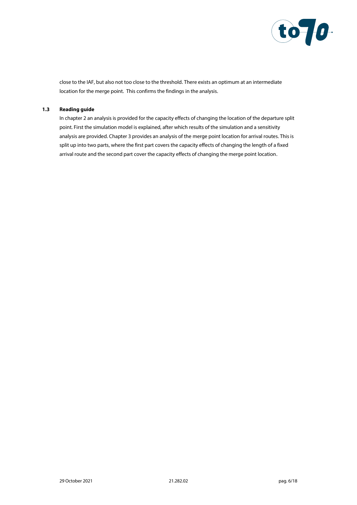

<span id="page-5-0"></span>close to the IAF, but also not too close to the threshold. There exists an optimum at an intermediate location for the merge point. This confirms the findings in the analysis.

### **1.3 Reading guide**

In chapter 2 an analysis is provided for the capacity effects of changing the location of the departure split point. First the simulation model is explained, after which results of the simulation and a sensitivity analysis are provided. Chapter 3 provides an analysis of the merge point location for arrival routes. This is split up into two parts, where the first part covers the capacity effects of changing the length of a fixed arrival route and the second part cover the capacity effects of changing the merge point location.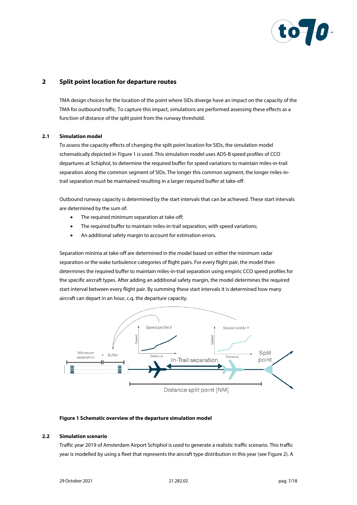

# <span id="page-6-0"></span>**2 Split point location for departure routes**

TMA design choices for the location of the point where SIDs diverge have an impact on the capacity of the TMA for outbound traffic. To capture this impact, simulations are performed assessing these effects as a function of distance of the split point from the runway threshold.

#### <span id="page-6-1"></span>**2.1 Simulation model**

To assess the capacity effects of changing the split point location for SIDs, the simulation model schematically depicted i[n Figure 1](#page-6-3) is used. This simulation model uses ADS-B speed profiles of CCO departures at Schiphol, to determine the required buffer for speed variations to maintain miles-in-trail separation along the common segment of SIDs. The longer this common segment, the longer miles-intrail separation must be maintained resulting in a larger required buffer at take-off.

Outbound runway capacity is determined by the start intervals that can be achieved. These start intervals are determined by the sum of:

- The required minimum separation at take-off;
- The required buffer to maintain miles-in-trail separation, with speed variations;
- An additional safety margin to account for estimation errors.

Separation minima at take-off are determined in the model based on either the minimum radar separation or the wake turbulence categories of flight pairs. For every flight pair, the model then determines the required buffer to maintain miles-in-trail separation using empiric CCO speed profiles for the specific aircraft types. After adding an additional safety margin, the model determines the required start interval between every flight pair. By summing these start intervals it is determined how many aircraft can depart in an hour, c.q. the departure capacity.



## <span id="page-6-3"></span><span id="page-6-2"></span>**Figure 1 Schematic overview of the departure simulation model**

# **2.2 Simulation scenario**

Traffic year 2019 of Amsterdam Airport Schiphol is used to generate a realistic traffic scenario. This traffic year is modelled by using a fleet that represents the aircraft type distribution in this year (se[e Figure 2\)](#page-7-1). A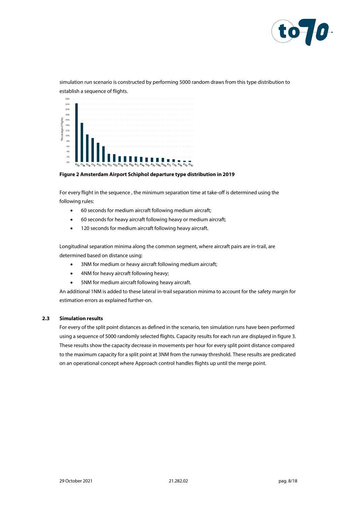

simulation run scenario is constructed by performing 5000 random draws from this type distribution to establish a sequence of flights.



<span id="page-7-1"></span>**Figure 2 Amsterdam Airport Schiphol departure type distribution in 2019**

For every flight in the sequence , the minimum separation time at take-off is determined using the following rules:

- 60 seconds for medium aircraft following medium aircraft;
- 60 seconds for heavy aircraft following heavy or medium aircraft;
- 120 seconds for medium aircraft following heavy aircraft.

Longitudinal separation minima along the common segment, where aircraft pairs are in-trail, are determined based on distance using:

- 3NM for medium or heavy aircraft following medium aircraft;
- 4NM for heavy aircraft following heavy;
- 5NM for medium aircraft following heavy aircraft.

<span id="page-7-0"></span>An additional 1NM is added to these lateral in-trail separation minima to account for the safety margin for estimation errors as explained further-on.

#### **2.3 Simulation results**

For every of the split point distances as defined in the scenario, ten simulation runs have been performed using a sequence of 5000 randomly selected flights. Capacity results for each run are displayed in figure 3. These results show the capacity decrease in movements per hour for every split point distance compared to the maximum capacity for a split point at 3NM from the runway threshold. These results are predicated on an operational concept where Approach control handles flights up until the merge point.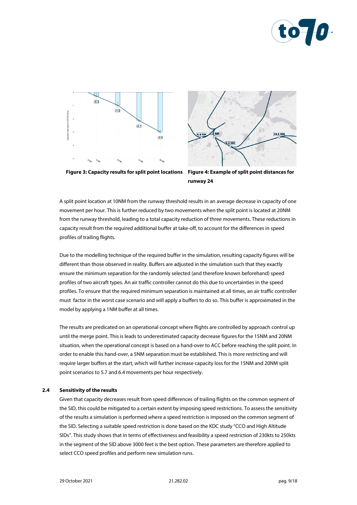





**Figure 3: Capacity results for split point locations Figure 4: Example of split point distances for runway 24**

A split point location at 10NM from the runway threshold results in an average decrease in capacity of one movement per hour. This is further reduced by two movements when the split point is located at 20NM from the runway threshold, leading to a total capacity reduction of three movements. These reductions in capacity result from the required additional buffer at take-off, to account for the differences in speed profiles of trailing flights.

Due to the modelling technique of the required buffer in the simulation, resulting capacity figures will be different than those observed in reality. Buffers are adjusted in the simulation such that they exactly ensure the minimum separation for the randomly selected (and therefore known beforehand) speed profiles of two aircraft types. An air traffic controller cannot do this due to uncertainties in the speed profiles. To ensure that the required minimum separation is maintained at all times, an air traffic controller must factor in the worst case scenario and will apply a buffers to do so. This buffer is approximated in the model by applying a 1NM buffer at all times.

The results are predicated on an operational concept where flights are controlled by approach control up until the merge point. This is leads to underestimated capacity decrease figures for the 15NM and 20NM situation, when the operational concept is based on a hand-over to ACC before reaching the split point. In order to enable this hand-over, a 5NM separation must be established. This is more restricting and will require larger buffers at the start, which will further increase capacity loss for the 15NM and 20NM split point scenarios to 5.7 and 6.4 movements per hour respectively.

#### <span id="page-8-0"></span>**2.4 Sensitivity of the results**

Given that capacity decreases result from speed differences of trailing flights on the common segment of the SID, this could be mitigated to a certain extent by imposing speed restrictions. To assess the sensitivity of the results a simulation is performed where a speed restriction is imposed on the common segment of the SID. Selecting a suitable speed restriction is done based on the KDC study "CCO and High Altitude SIDs". This study shows that in terms of effectiveness and feasibility a speed restriction of 230kts to 250kts in the segment of the SID above 3000 feet is the best option. These parameters are therefore applied to select CCO speed profiles and perform new simulation runs.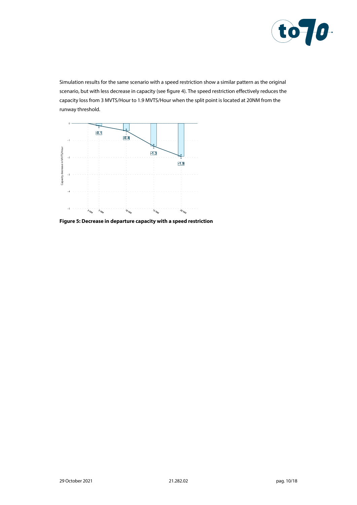

Simulation results for the same scenario with a speed restriction show a similar pattern as the original scenario, but with less decrease in capacity (see figure 4). The speed restriction effectively reduces the capacity loss from 3 MVTS/Hour to 1.9 MVTS/Hour when the split point is located at 20NM from the runway threshold.



**Figure 5: Decrease in departure capacity with a speed restriction**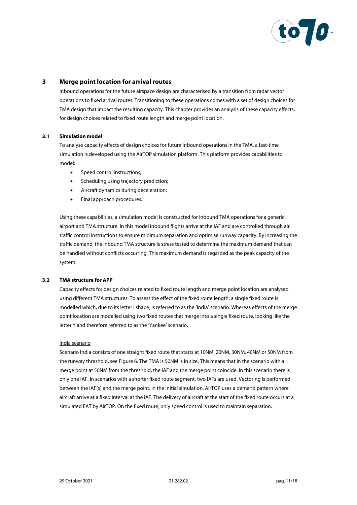

# **3 Merge point location for arrival routes**

<span id="page-10-0"></span>Inbound operations for the future airspace design are characterised by a transition from radar vector operations to fixed arrival routes. Transitioning to these operations comes with a set of design choices for TMA design that impact the resulting capacity. This chapter provides an analysis of these capacity effects, for design choices related to fixed route length and merge point location.

#### <span id="page-10-1"></span>**3.1 Simulation model**

To analyse capacity effects of design choices for future inbound operations in the TMA, a fast-time simulation is developed using the AirTOP simulation platform. This platform provides capabilities to model:

- Speed control instructions;
- Scheduling using trajectory prediction;
- Aircraft dynamics during deceleration;
- Final approach procedures.

Using these capabilities, a simulation model is constructed for inbound TMA operations for a generic airport and TMA structure. In this model inbound flights arrive at the IAF and are controlled through air traffic control instructions to ensure minimum separation and optimise runway capacity. By increasing the traffic demand, the inbound TMA structure is stress tested to determine the maximum demand that can be handled without conflicts occurring. This maximum demand is regarded as the peak capacity of the system.

#### <span id="page-10-2"></span>**3.2 TMA structure for APP**

Capacity effects for design choices related to fixed route length and merge point location are analysed using different TMA structures. To assess the effect of the fixed route length, a single fixed route is modelled which, due to its letter I shape, is referred to as the 'India' scenario. Whereas effects of the merge point location are modelled using two fixed routes that merge into a single fixed route, looking like the letter Y and therefore referred to as the 'Yankee' scenario.

#### India scenario

Scenario India consists of one straight fixed route that starts at 10NM, 20NM, 30NM, 40NM or 50NM from the runway threshold, se[e Figure 6.](#page-11-1) The TMA is 50NM is in size. This means that in the scenario with a merge point at 50NM from the threshold, the IAF and the merge point coincide. In this scenario there is only one IAF. In scenarios with a shorter fixed route segment, two IAFs are used. Vectoring is performed between the IAF(s) and the merge point. In the initial simulation, AirTOP uses a demand pattern where aircraft arrive at a fixed interval at the IAF. The delivery of aircraft at the start of the fixed route occurs at a simulated EAT by AirTOP. On the fixed route, only speed control is used to maintain separation.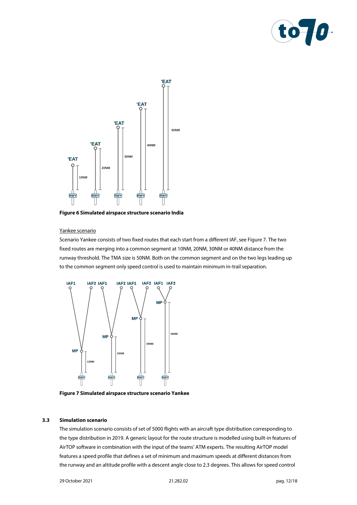



<span id="page-11-1"></span>**Figure 6 Simulated airspace structure scenario India**

#### Yankee scenario

Scenario Yankee consists of two fixed routes that each start from a different IAF, se[e Figure 7.](#page-11-2) The two fixed routes are merging into a common segment at 10NM, 20NM, 30NM or 40NM distance from the runway threshold. The TMA size is 50NM. Both on the common segment and on the two legs leading up to the common segment only speed control is used to maintain minimum in-trail separation.



<span id="page-11-2"></span><span id="page-11-0"></span>**Figure 7 Simulated airspace structure scenario Yankee**

# **3.3 Simulation scenario**

The simulation scenario consists of set of 5000 flights with an aircraft type distribution corresponding to the type distribution in 2019. A generic layout for the route structure is modelled using built-in features of AirTOP software in combination with the input of the teams' ATM experts. The resulting AirTOP model features a speed profile that defines a set of minimum and maximum speeds at different distances from the runway and an altitude profile with a descent angle close to 2.3 degrees. This allows for speed control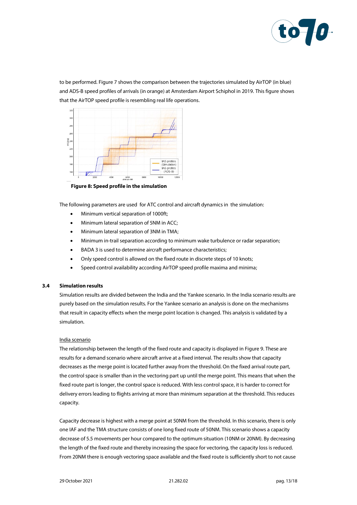

to be performed. Figure 7 shows the comparison between the trajectories simulated by AirTOP (in blue) and ADS-B speed profiles of arrivals (in orange) at Amsterdam Airport Schiphol in 2019. This figure shows that the AirTOP speed profile is resembling real life operations.



**Figure 8: Speed profile in the simulation**

The following parameters are used for ATC control and aircraft dynamics in the simulation:

- Minimum vertical separation of 1000ft;
- Minimum lateral separation of 5NM in ACC;
- Minimum lateral separation of 3NM in TMA;
- Minimum in-trail separation according to minimum wake turbulence or radar separation;
- BADA 3 is used to determine aircraft performance characteristics;
- Only speed control is allowed on the fixed route in discrete steps of 10 knots;
- <span id="page-12-0"></span>• Speed control availability according AirTOP speed profile maxima and minima;

#### **3.4 Simulation results**

Simulation results are divided between the India and the Yankee scenario. In the India scenario results are purely based on the simulation results. For the Yankee scenario an analysis is done on the mechanisms that result in capacity effects when the merge point location is changed. This analysis is validated by a simulation.

#### India scenario

The relationship between the length of the fixed route and capacity is displayed i[n Figure 9.](#page-13-0) These are results for a demand scenario where aircraft arrive at a fixed interval. The results show that capacity decreases as the merge point is located further away from the threshold. On the fixed arrival route part, the control space is smaller than in the vectoring part up until the merge point. This means that when the fixed route part is longer, the control space is reduced. With less control space, it is harder to correct for delivery errors leading to flights arriving at more than minimum separation at the threshold. This reduces capacity.

Capacity decrease is highest with a merge point at 50NM from the threshold. In this scenario, there is only one IAF and the TMA structure consists of one long fixed route of 50NM. This scenario shows a capacity decrease of 5.5 movements per hour compared to the optimum situation (10NM or 20NM). By decreasing the length of the fixed route and thereby increasing the space for vectoring, the capacity loss is reduced. From 20NM there is enough vectoring space available and the fixed route is sufficiently short to not cause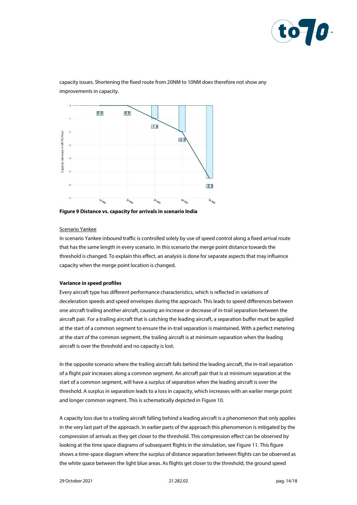

capacity issues. Shortening the fixed route from 20NM to 10NM does therefore not show any improvements in capacity.



<span id="page-13-0"></span>**Figure 9 Distance vs. capacity for arrivals in scenario India**

#### Scenario Yankee

In scenario Yankee inbound traffic is controlled solely by use of speed control along a fixed arrival route that has the same length in every scenario. In this scenario the merge point distance towards the threshold is changed. To explain this effect, an analysis is done for separate aspects that may influence capacity when the merge point location is changed.

#### **Variance in speed profiles**

Every aircraft type has different performance characteristics, which is reflected in variations of deceleration speeds and speed envelopes during the approach. This leads to speed differences between one aircraft trailing another aircraft, causing an increase or decrease of in-trail separation between the aircraft pair. For a trailing aircraft that is catching the leading aircraft, a separation buffer must be applied at the start of a common segment to ensure the in-trail separation is maintained. With a perfect metering at the start of the common segment, the trailing aircraft is at minimum separation when the leading aircraft is over the threshold and no capacity is lost.

In the opposite scenario where the trailing aircraft falls behind the leading aircraft, the in-trail separation of a flight pair increases along a common segment. An aircraft pair that is at minimum separation at the start of a common segment, will have a surplus of separation when the leading aircraft is over the threshold. A surplus in separation leads to a loss in capacity, which increases with an earlier merge point and longer common segment. This is schematically depicted i[n Figure 10.](#page-14-0)

A capacity loss due to a trailing aircraft falling behind a leading aircraft is a phenomenon that only applies in the very last part of the approach. In earlier parts of the approach this phenomenon is mitigated by the compression of arrivals as they get closer to the threshold. This compression effect can be observed by looking at the time space diagrams of subsequent flights in the simulation, se[e Figure 11.](#page-14-1) This figure shows a time-space diagram where the surplus of distance separation between flights can be observed as the white space between the light blue areas. As flights get closer to the threshold, the ground speed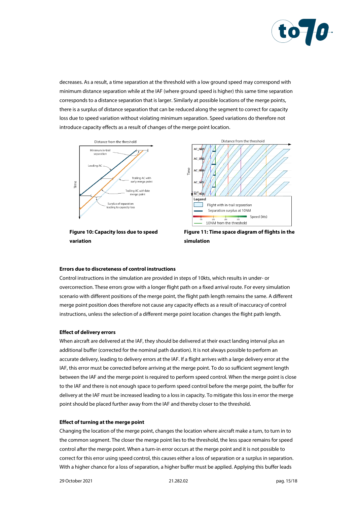

decreases. As a result, a time separation at the threshold with a low ground speed may correspond with minimum distance separation while at the IAF (where ground speed is higher) this same time separation corresponds to a distance separation that is larger. Similarly at possible locations of the merge points, there is a surplus of distance separation that can be reduced along the segment to correct for capacity loss due to speed variation without violating minimum separation. Speed variations do therefore not introduce capacity effects as a result of changes of the merge point location.



<span id="page-14-0"></span>**Figure 10: Capacity loss due to speed variation**



<span id="page-14-1"></span>**Figure 11: Time space diagram of flights in the simulation**

#### **Errors due to discreteness of control instructions**

Control instructions in the simulation are provided in steps of 10kts, which results in under- or overcorrection. These errors grow with a longer flight path on a fixed arrival route. For every simulation scenario with different positions of the merge point, the flight path length remains the same. A different merge point position does therefore not cause any capacity effects as a result of inaccuracy of control instructions, unless the selection of a different merge point location changes the flight path length.

#### **Effect of delivery errors**

When aircraft are delivered at the IAF, they should be delivered at their exact landing interval plus an additional buffer (corrected for the nominal path duration). It is not always possible to perform an accurate delivery, leading to delivery errors at the IAF. If a flight arrives with a large delivery error at the IAF, this error must be corrected before arriving at the merge point. To do so sufficient segment length between the IAF and the merge point is required to perform speed control. When the merge point is close to the IAF and there is not enough space to perform speed control before the merge point, the buffer for delivery at the IAF must be increased leading to a loss in capacity. To mitigate this loss in error the merge point should be placed further away from the IAF and thereby closer to the threshold.

#### **Effect of turning at the merge point**

Changing the location of the merge point, changes the location where aircraft make a turn, to turn in to the common segment. The closer the merge point lies to the threshold, the less space remains for speed control after the merge point. When a turn-in error occurs at the merge point and it is not possible to correct for this error using speed control, this causes either a loss of separation or a surplus in separation. With a higher chance for a loss of separation, a higher buffer must be applied. Applying this buffer leads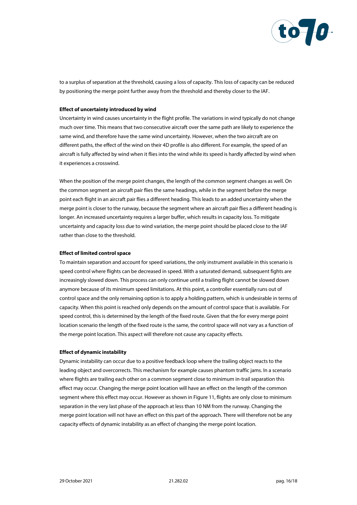

to a surplus of separation at the threshold, causing a loss of capacity. This loss of capacity can be reduced by positioning the merge point further away from the threshold and thereby closer to the IAF.

#### **Effect of uncertainty introduced by wind**

Uncertainty in wind causes uncertainty in the flight profile. The variations in wind typically do not change much over time. This means that two consecutive aircraft over the same path are likely to experience the same wind, and therefore have the same wind uncertainty. However, when the two aircraft are on different paths, the effect of the wind on their 4D profile is also different. For example, the speed of an aircraft is fully affected by wind when it flies into the wind while its speed is hardly affected by wind when it experiences a crosswind.

When the position of the merge point changes, the length of the common segment changes as well. On the common segment an aircraft pair flies the same headings, while in the segment before the merge point each flight in an aircraft pair flies a different heading. This leads to an added uncertainty when the merge point is closer to the runway, because the segment where an aircraft pair flies a different heading is longer. An increased uncertainty requires a larger buffer, which results in capacity loss. To mitigate uncertainty and capacity loss due to wind variation, the merge point should be placed close to the IAF rather than close to the threshold.

# **Effect of limited control space**

To maintain separation and account for speed variations, the only instrument available in this scenario is speed control where flights can be decreased in speed. With a saturated demand, subsequent fights are increasingly slowed down. This process can only continue until a trailing flight cannot be slowed down anymore because of its minimum speed limitations. At this point, a controller essentially runs out of control space and the only remaining option is to apply a holding pattern, which is undesirable in terms of capacity. When this point is reached only depends on the amount of control space that is available. For speed control, this is determined by the length of the fixed route. Given that the for every merge point location scenario the length of the fixed route is the same, the control space will not vary as a function of the merge point location. This aspect will therefore not cause any capacity effects.

#### **Effect of dynamic instability**

Dynamic instability can occur due to a positive feedback loop where the trailing object reacts to the leading object and overcorrects. This mechanism for example causes phantom traffic jams. In a scenario where flights are trailing each other on a common segment close to minimum in-trail separation this effect may occur. Changing the merge point location will have an effect on the length of the common segment where this effect may occur. However as shown i[n Figure 11,](#page-14-1) flights are only close to minimum separation in the very last phase of the approach at less than 10 NM from the runway. Changing the merge point location will not have an effect on this part of the approach. There will therefore not be any capacity effects of dynamic instability as an effect of changing the merge point location.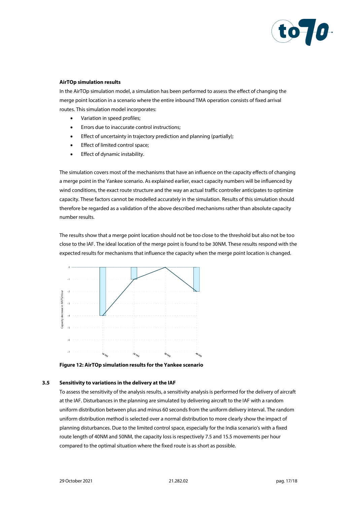

### **AirTOp simulation results**

In the AirTOp simulation model, a simulation has been performed to assess the effect of changing the merge point location in a scenario where the entire inbound TMA operation consists of fixed arrival routes. This simulation model incorporates:

- Variation in speed profiles;
- Errors due to inaccurate control instructions;
- Effect of uncertainty in trajectory prediction and planning (partially);
- Effect of limited control space;
- Effect of dynamic instability.

The simulation covers most of the mechanisms that have an influence on the capacity effects of changing a merge point in the Yankee scenario. As explained earlier, exact capacity numbers will be influenced by wind conditions, the exact route structure and the way an actual traffic controller anticipates to optimize capacity. These factors cannot be modelled accurately in the simulation. Results of this simulation should therefore be regarded as a validation of the above described mechanisms rather than absolute capacity number results.

The results show that a merge point location should not be too close to the threshold but also not be too close to the IAF. The ideal location of the merge point is found to be 30NM. These results respond with the expected results for mechanisms that influence the capacity when the merge point location is changed.



**Figure 12: AirTOp simulation results for the Yankee scenario**

#### **3.5 Sensitivity to variations in the delivery at the IAF**

<span id="page-16-0"></span>To assess the sensitivity of the analysis results, a sensitivity analysis is performed for the delivery of aircraft at the IAF. Disturbances in the planning are simulated by delivering aircraft to the IAF with a random uniform distribution between plus and minus 60 seconds from the uniform delivery interval. The random uniform distribution method is selected over a normal distribution to more clearly show the impact of planning disturbances. Due to the limited control space, especially for the India scenario's with a fixed route length of 40NM and 50NM, the capacity loss is respectively 7.5 and 15.5 movements per hour compared to the optimal situation where the fixed route is as short as possible.